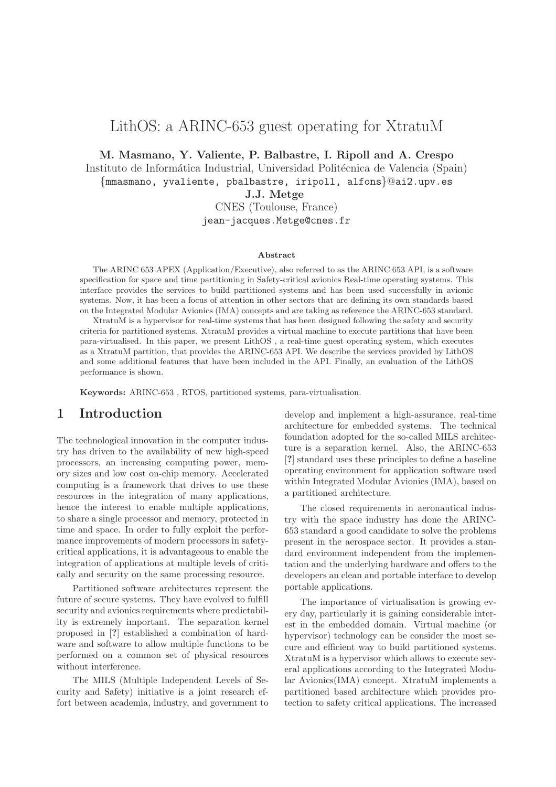# LithOS: a ARINC-653 guest operating for XtratuM

M. Masmano, Y. Valiente, P. Balbastre, I. Ripoll and A. Crespo

Instituto de Informática Industrial, Universidad Politécnica de Valencia (Spain)

{mmasmano, yvaliente, pbalbastre, iripoll, alfons}@ai2.upv.es

J.J. Metge

CNES (Toulouse, France) jean-jacques.Metge@cnes.fr

#### Abstract

The ARINC 653 APEX (Application/Executive), also referred to as the ARINC 653 API, is a software specification for space and time partitioning in Safety-critical avionics Real-time operating systems. This interface provides the services to build partitioned systems and has been used successfully in avionic systems. Now, it has been a focus of attention in other sectors that are defining its own standards based on the Integrated Modular Avionics (IMA) concepts and are taking as reference the ARINC-653 standard.

XtratuM is a hypervisor for real-time systems that has been designed following the safety and security criteria for partitioned systems. XtratuM provides a virtual machine to execute partitions that have been para-virtualised. In this paper, we present LithOS , a real-time guest operating system, which executes as a XtratuM partition, that provides the ARINC-653 API. We describe the services provided by LithOS and some additional features that have been included in the API. Finally, an evaluation of the LithOS performance is shown.

Keywords: ARINC-653 , RTOS, partitioned systems, para-virtualisation.

## 1 Introduction

The technological innovation in the computer industry has driven to the availability of new high-speed processors, an increasing computing power, memory sizes and low cost on-chip memory. Accelerated computing is a framework that drives to use these resources in the integration of many applications, hence the interest to enable multiple applications, to share a single processor and memory, protected in time and space. In order to fully exploit the performance improvements of modern processors in safetycritical applications, it is advantageous to enable the integration of applications at multiple levels of critically and security on the same processing resource.

Partitioned software architectures represent the future of secure systems. They have evolved to fulfill security and avionics requirements where predictability is extremely important. The separation kernel proposed in [?] established a combination of hardware and software to allow multiple functions to be performed on a common set of physical resources without interference.

The MILS (Multiple Independent Levels of Security and Safety) initiative is a joint research effort between academia, industry, and government to develop and implement a high-assurance, real-time architecture for embedded systems. The technical foundation adopted for the so-called MILS architecture is a separation kernel. Also, the ARINC-653 [?] standard uses these principles to define a baseline operating environment for application software used within Integrated Modular Avionics (IMA), based on a partitioned architecture.

The closed requirements in aeronautical industry with the space industry has done the ARINC-653 standard a good candidate to solve the problems present in the aerospace sector. It provides a standard environment independent from the implementation and the underlying hardware and offers to the developers an clean and portable interface to develop portable applications.

The importance of virtualisation is growing every day, particularly it is gaining considerable interest in the embedded domain. Virtual machine (or hypervisor) technology can be consider the most secure and efficient way to build partitioned systems. XtratuM is a hypervisor which allows to execute several applications according to the Integrated Modular Avionics(IMA) concept. XtratuM implements a partitioned based architecture which provides protection to safety critical applications. The increased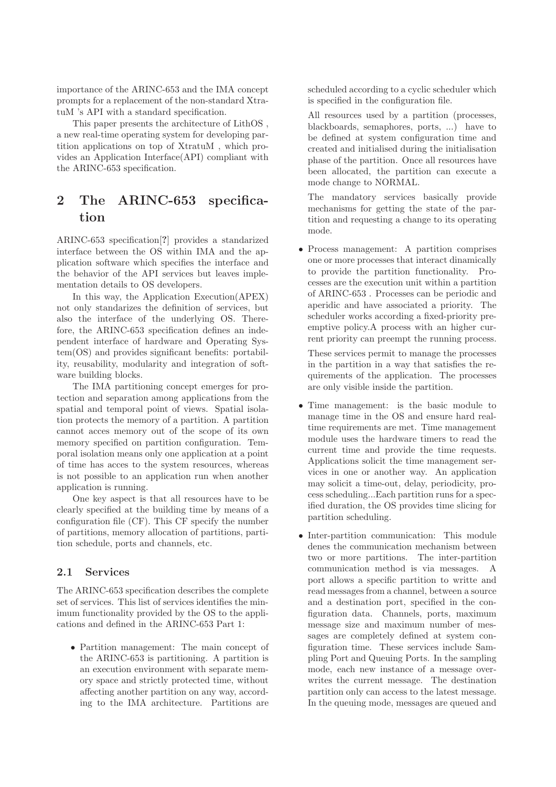importance of the ARINC-653 and the IMA concept prompts for a replacement of the non-standard XtratuM 's API with a standard specification.

This paper presents the architecture of LithOS , a new real-time operating system for developing partition applications on top of XtratuM , which provides an Application Interface(API) compliant with the ARINC-653 specification.

# 2 The ARINC-653 specification

ARINC-653 specification[?] provides a standarized interface between the OS within IMA and the application software which specifies the interface and the behavior of the API services but leaves implementation details to OS developers.

In this way, the Application Execution(APEX) not only standarizes the definition of services, but also the interface of the underlying OS. Therefore, the ARINC-653 specification defines an independent interface of hardware and Operating System(OS) and provides significant benefits: portability, reusability, modularity and integration of software building blocks.

The IMA partitioning concept emerges for protection and separation among applications from the spatial and temporal point of views. Spatial isolation protects the memory of a partition. A partition cannot acces memory out of the scope of its own memory specified on partition configuration. Temporal isolation means only one application at a point of time has acces to the system resources, whereas is not possible to an application run when another application is running.

One key aspect is that all resources have to be clearly specified at the building time by means of a configuration file (CF). This CF specify the number of partitions, memory allocation of partitions, partition schedule, ports and channels, etc.

### 2.1 Services

The ARINC-653 specification describes the complete set of services. This list of services identifies the minimum functionality provided by the OS to the applications and defined in the ARINC-653 Part 1:

• Partition management: The main concept of the ARINC-653 is partitioning. A partition is an execution environment with separate memory space and strictly protected time, without affecting another partition on any way, according to the IMA architecture. Partitions are

scheduled according to a cyclic scheduler which is specified in the configuration file.

All resources used by a partition (processes, blackboards, semaphores, ports, ...) have to be defined at system configuration time and created and initialised during the initialisation phase of the partition. Once all resources have been allocated, the partition can execute a mode change to NORMAL.

The mandatory services basically provide mechanisms for getting the state of the partition and requesting a change to its operating mode.

• Process management: A partition comprises one or more processes that interact dinamically to provide the partition functionality. Processes are the execution unit within a partition of ARINC-653 . Processes can be periodic and aperidic and have associated a priority. The scheduler works according a fixed-priority preemptive policy.A process with an higher current priority can preempt the running process.

These services permit to manage the processes in the partition in a way that satisfies the requirements of the application. The processes are only visible inside the partition.

- Time management: is the basic module to manage time in the OS and ensure hard realtime requirements are met. Time management module uses the hardware timers to read the current time and provide the time requests. Applications solicit the time management services in one or another way. An application may solicit a time-out, delay, periodicity, process scheduling...Each partition runs for a specified duration, the OS provides time slicing for partition scheduling.
- Inter-partition communication: This module denes the communication mechanism between two or more partitions. The inter-partition communication method is via messages. A port allows a specific partition to writte and read messages from a channel, between a source and a destination port, specified in the configuration data. Channels, ports, maximum message size and maximum number of messages are completely defined at system configuration time. These services include Sampling Port and Queuing Ports. In the sampling mode, each new instance of a message overwrites the current message. The destination partition only can access to the latest message. In the queuing mode, messages are queued and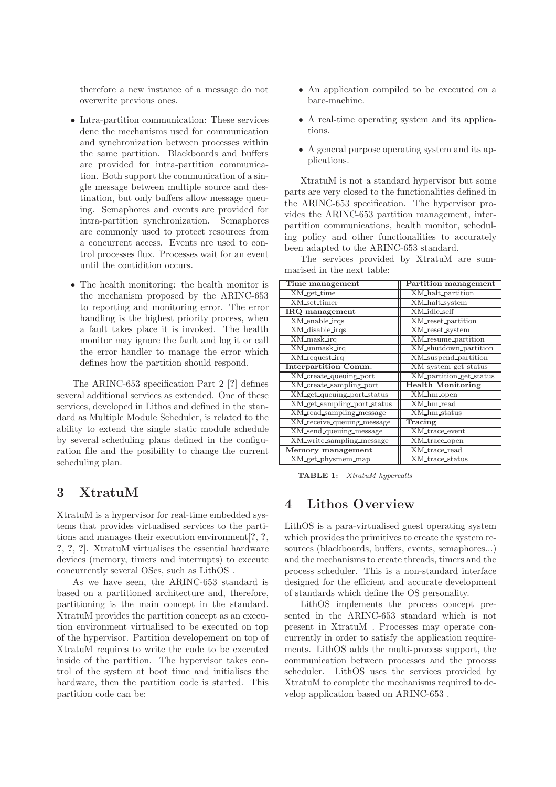therefore a new instance of a message do not overwrite previous ones.

- Intra-partition communication: These services dene the mechanisms used for communication and synchronization between processes within the same partition. Blackboards and buffers are provided for intra-partition communication. Both support the communication of a single message between multiple source and destination, but only buffers allow message queuing. Semaphores and events are provided for intra-partition synchronization. Semaphores are commonly used to protect resources from a concurrent access. Events are used to control processes flux. Processes wait for an event until the contidition occurs.
- The health monitoring: the health monitor is the mechanism proposed by the ARINC-653 to reporting and monitoring error. The error handling is the highest priority process, when a fault takes place it is invoked. The health monitor may ignore the fault and log it or call the error handler to manage the error which defines how the partition should respond.

The ARINC-653 specification Part 2 [?] defines several additional services as extended. One of these services, developed in Lithos and defined in the standard as Multiple Module Scheduler, is related to the ability to extend the single static module schedule by several scheduling plans defined in the configuration file and the posibility to change the current scheduling plan.

## 3 XtratuM

XtratuM is a hypervisor for real-time embedded systems that provides virtualised services to the partitions and manages their execution environment[?, ?, ?, ?, ?]. XtratuM virtualises the essential hardware devices (memory, timers and interrupts) to execute concurrently several OSes, such as LithOS .

As we have seen, the ARINC-653 standard is based on a partitioned architecture and, therefore, partitioning is the main concept in the standard. XtratuM provides the partition concept as an execution environment virtualised to be executed on top of the hypervisor. Partition developement on top of XtratuM requires to write the code to be executed inside of the partition. The hypervisor takes control of the system at boot time and initialises the hardware, then the partition code is started. This partition code can be:

- An application compiled to be executed on a bare-machine.
- A real-time operating system and its applications.
- A general purpose operating system and its applications.

XtratuM is not a standard hypervisor but some parts are very closed to the functionalities defined in the ARINC-653 specification. The hypervisor provides the ARINC-653 partition management, interpartition communications, health monitor, scheduling policy and other functionalities to accurately been adapted to the ARINC-653 standard.

The services provided by XtratuM are summarised in the next table:

| Time management             | <b>Partition management</b> |
|-----------------------------|-----------------------------|
| XM_get_time                 | XM_halt_partition           |
| XM_set_timer                | XM_halt_system              |
| IRQ management              | XM_idle_self                |
| XM_enable_irqs              | XM_reset_partition          |
| XM_disable_irqs             | XM_reset_system             |
| XM_mask_irq                 | XM_resume_partition         |
| XM_unmask_irq               | XM_shutdown_partition       |
| XM_request_irq              | XM_suspend_partition        |
| <b>Interpartition Comm.</b> | XM_system_get_status        |
| XM_create_queuing_port      | XM_partition_get_status     |
| XM_create_sampling_port     | <b>Health Monitoring</b>    |
| XM_get_queuing_port_status  | XM_hm_open                  |
| XM_get_sampling_port_status | XM_hm_read                  |
| XM_read_sampling_message    | XM_hm_status                |
| XM_receive_queuing_message  | Tracing                     |
| XM_send_queuing_message     | XM_trace_event              |
| XM_write_sampling_message   | XM_trace_open               |
| Memory management           | XM_trace_read               |
| XM_get_physmem_map          | XM_trace_status             |

TABLE 1: XtratuM hypercalls

## 4 Lithos Overview

LithOS is a para-virtualised guest operating system which provides the primitives to create the system resources (blackboards, buffers, events, semaphores...) and the mechanisms to create threads, timers and the process scheduler. This is a non-standard interface designed for the efficient and accurate development of standards which define the OS personality.

LithOS implements the process concept presented in the ARINC-653 standard which is not present in XtratuM . Processes may operate concurrently in order to satisfy the application requirements. LithOS adds the multi-process support, the communication between processes and the process scheduler. LithOS uses the services provided by XtratuM to complete the mechanisms required to develop application based on ARINC-653 .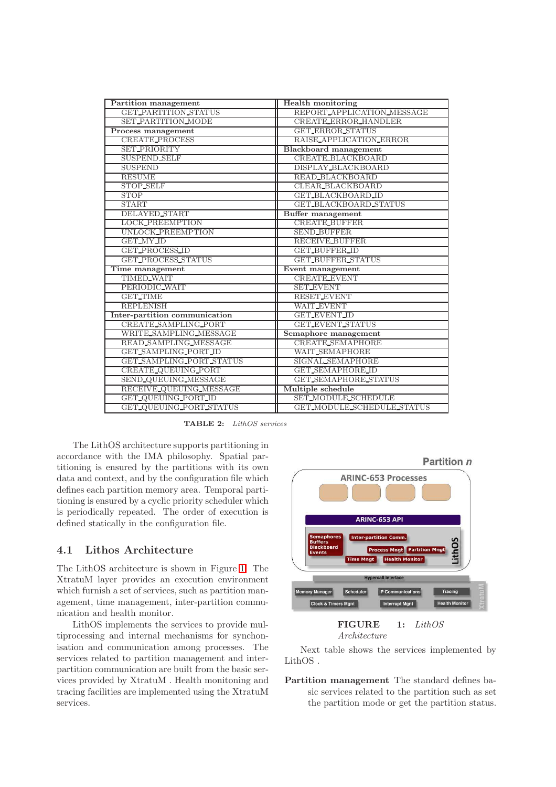| Partition management          | <b>Health monitoring</b>    |  |  |
|-------------------------------|-----------------------------|--|--|
| <b>GET_PARTITION_STATUS</b>   | REPORT_APPLICATION_MESSAGE  |  |  |
| <b>SET_PARTITION_MODE</b>     | <b>CREATE_ERROR_HANDLER</b> |  |  |
| Process management            | <b>GET_ERROR_STATUS</b>     |  |  |
| <b>CREATE_PROCESS</b>         | RAISE_APPLICATION_ERROR     |  |  |
| <b>SET PRIORITY</b>           | Blackboard management       |  |  |
| <b>SUSPEND SELF</b>           | CREATE_BLACKBOARD           |  |  |
| <b>SUSPEND</b>                | DISPLAY_BLACKBOARD          |  |  |
| <b>RESUME</b>                 | READ_BLACKBOARD             |  |  |
| <b>STOP SELF</b>              | CLEAR_BLACKBOARD            |  |  |
| <b>STOP</b>                   | <b>GET_BLACKBOARD_ID</b>    |  |  |
| <b>START</b>                  | GET_BLACKBOARD_STATUS       |  |  |
| <b>DELAYED_START</b>          | <b>Buffer management</b>    |  |  |
| <b>LOCK_PREEMPTION</b>        | <b>CREATE_BUFFER</b>        |  |  |
| UNLOCK_PREEMPTION             | <b>SEND BUFFER</b>          |  |  |
| GET_MY_ID                     | <b>RECEIVE_BUFFER</b>       |  |  |
| <b>GET_PROCESS_ID</b>         | <b>GET_BUFFER_ID</b>        |  |  |
| GET_PROCESS_STATUS            | <b>GET_BUFFER_STATUS</b>    |  |  |
| Time management               | Event management            |  |  |
| <b>TIMED_WAIT</b>             | <b>CREATE_EVENT</b>         |  |  |
| PERIODIC_WAIT                 | <b>SET_EVENT</b>            |  |  |
| <b>GET_TIME</b>               | <b>RESET_EVENT</b>          |  |  |
| <b>REPLENISH</b>              | <b>WAIT_EVENT</b>           |  |  |
| Inter-partition communication | <b>GET_EVENT_ID</b>         |  |  |
| CREATE_SAMPLING_PORT          | <b>GET_EVENT_STATUS</b>     |  |  |
| WRITE_SAMPLING_MESSAGE        | Semaphore management        |  |  |
| READ_SAMPLING_MESSAGE         | <b>CREATE_SEMAPHORE</b>     |  |  |
| GET_SAMPLING_PORT_ID          | <b>WAIT_SEMAPHORE</b>       |  |  |
| GET_SAMPLING_PORT_STATUS      | SIGNAL SEMAPHORE            |  |  |
| CREATE_QUEUING_PORT           | <b>GET_SEMAPHORE_ID</b>     |  |  |
| SEND_QUEUING_MESSAGE          | <b>GET_SEMAPHORE_STATUS</b> |  |  |
| RECEIVE QUEUING MESSAGE       | Multiple schedule           |  |  |
| GET_QUEUING_PORT_ID           | SET_MODULE_SCHEDULE         |  |  |
| GET_QUEUING_PORT_STATUS       | GET_MODULE_SCHEDULE_STATUS  |  |  |

TABLE 2: LithOS services

The LithOS architecture supports partitioning in accordance with the IMA philosophy. Spatial partitioning is ensured by the partitions with its own data and context, and by the configuration file which defines each partition memory area. Temporal partitioning is ensured by a cyclic priority scheduler which is periodically repeated. The order of execution is defined statically in the configuration file.

### 4.1 Lithos Architecture

The LithOS architecture is shown in Figure [1.](#page-3-0) The XtratuM layer provides an execution environment which furnish a set of services, such as partition management, time management, inter-partition communication and health monitor.

<span id="page-3-0"></span>LithOS implements the services to provide multiprocessing and internal mechanisms for synchonisation and communication among processes. The services related to partition management and interpartition communication are built from the basic services provided by XtratuM . Health monitoning and tracing facilities are implemented using the XtratuM services.



$$
Architecture\\
$$

Next table shows the services implemented by LithOS .

Partition management The standard defines basic services related to the partition such as set the partition mode or get the partition status.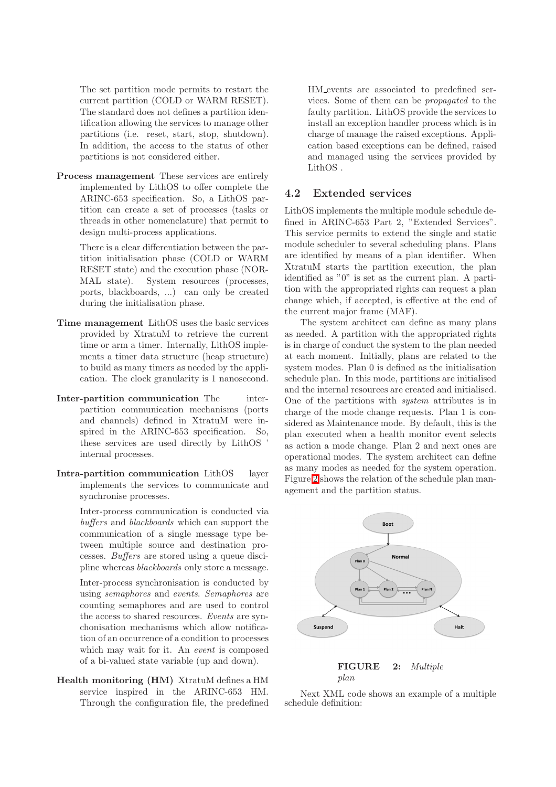The set partition mode permits to restart the current partition (COLD or WARM RESET). The standard does not defines a partition identification allowing the services to manage other partitions (i.e. reset, start, stop, shutdown). In addition, the access to the status of other partitions is not considered either.

Process management These services are entirely implemented by LithOS to offer complete the ARINC-653 specification. So, a LithOS partition can create a set of processes (tasks or threads in other nomenclature) that permit to design multi-process applications.

> There is a clear differentiation between the partition initialisation phase (COLD or WARM RESET state) and the execution phase (NOR-MAL state). System resources (processes, ports, blackboards, ...) can only be created during the initialisation phase.

- Time management LithOS uses the basic services provided by XtratuM to retrieve the current time or arm a timer. Internally, LithOS implements a timer data structure (heap structure) to build as many timers as needed by the application. The clock granularity is 1 nanosecond.
- Inter-partition communication The interpartition communication mechanisms (ports and channels) defined in XtratuM were inspired in the ARINC-653 specification. So, these services are used directly by LithOS ' internal processes.
- Intra-partition communication LithOS layer implements the services to communicate and synchronise processes.

Inter-process communication is conducted via buffers and blackboards which can support the communication of a single message type between multiple source and destination processes. Buffers are stored using a queue discipline whereas blackboards only store a message.

Inter-process synchronisation is conducted by using semaphores and events. Semaphores are counting semaphores and are used to control the access to shared resources. Events are synchonisation mechanisms which allow notification of an occurrence of a condition to processes which may wait for it. An *event* is composed of a bi-valued state variable (up and down).

Health monitoring (HM) XtratuM defines a HM service inspired in the ARINC-653 HM. Through the configuration file, the predefined HM events are associated to predefined services. Some of them can be propagated to the faulty partition. LithOS provide the services to install an exception handler process which is in charge of manage the raised exceptions. Application based exceptions can be defined, raised and managed using the services provided by LithOS .

### 4.2 Extended services

LithOS implements the multiple module schedule defined in ARINC-653 Part 2, "Extended Services". This service permits to extend the single and static module scheduler to several scheduling plans. Plans are identified by means of a plan identifier. When XtratuM starts the partition execution, the plan identified as "0" is set as the current plan. A partition with the appropriated rights can request a plan change which, if accepted, is effective at the end of the current major frame (MAF).

The system architect can define as many plans as needed. A partition with the appropriated rights is in charge of conduct the system to the plan needed at each moment. Initially, plans are related to the system modes. Plan 0 is defined as the initialisation schedule plan. In this mode, partitions are initialised and the internal resources are created and initialised. One of the partitions with system attributes is in charge of the mode change requests. Plan 1 is considered as Maintenance mode. By default, this is the plan executed when a health monitor event selects as action a mode change. Plan 2 and next ones are operational modes. The system architect can define as many modes as needed for the system operation. Figure [2](#page-4-0) shows the relation of the schedule plan management and the partition status.

<span id="page-4-0"></span>



Next XML code shows an example of a multiple schedule definition: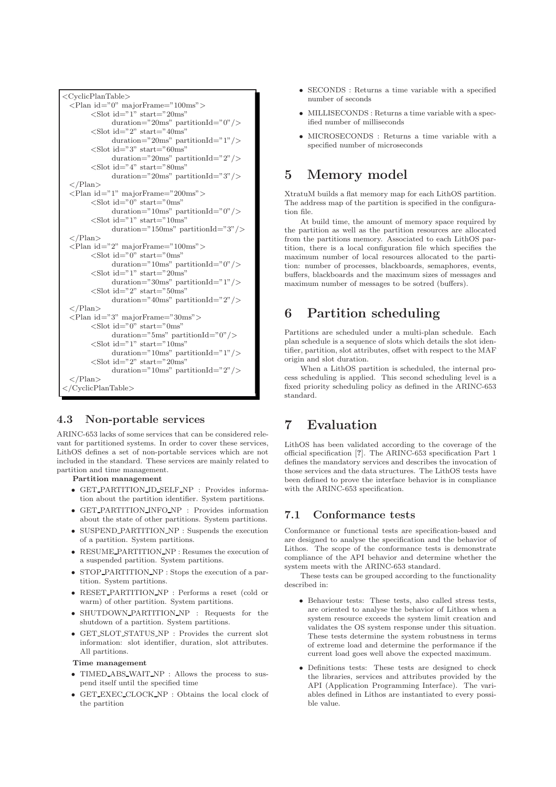```
<CyclicPlanTable>
\langlePlan id="0" majorFrame="100ms">
      \ltSlot id="1" start="20ms"
            duration="20ms" partitionId="0"/>
       \langleSlot id="2" start="40ms"
            duration="20ms" partitionId="1"/>
       <Slot id="3" start="60ms"
            duration="20ms" partitionId="2"/>
       <Slot id="4" start="80ms"
            duration="20ms" partitionId="3"/>
\langle/Plan>
\langlePlan id="1" majorFrame="200ms">
       \langleSlot id="0" start="0ms"
            duration="10ms" partitionId="0"/>
       <Slot id="1" start="10ms"
            duration="150ms" partitionId="3"/>
\langle/Plan\rangle\langlePlan id="2" majorFrame="100ms">
       \langleSlot id="0" start="0ms"
            duration="10ms" partitionId="0"/>
       \langleSlot id="1" start="20ms"
            duration="30ms" partitionId="1"/>
       <Slot id="2" start="50ms"
            duration="40ms" partitionId="2"/>
\langle/Plan>
\langlePlan id="3" majorFrame="30ms">
       \langleSlot id="0" start="0ms"
            duration="5ms" partitionId="0"/>
       \langleSlot id="1" start="10ms"
            duration="10ms" partitionId="1"/>
       <Slot id="2" start="20ms"
            duration="10ms" partitionId="2"\langle/Plan\rangle</CyclicPlanTable>
```
## 4.3 Non-portable services

ARINC-653 lacks of some services that can be considered relevant for partitioned systems. In order to cover these services, LithOS defines a set of non-portable services which are not included in the standard. These services are mainly related to partition and time management.

#### Partition management

- GET PARTITION ID SELF NP : Provides information about the partition identifier. System partitions.
- GET PARTITION INFO NP : Provides information about the state of other partitions. System partitions.
- SUSPEND\_PARTITION\_NP : Suspends the execution of a partition. System partitions.
- RESUME PARTITION NP : Resumes the execution of a suspended partition. System partitions.
- STOP PARTITION NP : Stops the execution of a partition. System partitions.
- RESET PARTITION NP : Performs a reset (cold or warm) of other partition. System partitions.
- SHUTDOWN PARTITION NP : Requests for the shutdown of a partition. System partitions.
- GET SLOT STATUS NP : Provides the current slot information: slot identifier, duration, slot attributes. All partitions.

#### Time management

- TIMED\_ABS\_WAIT\_NP : Allows the process to suspend itself until the specified time
- GET EXEC CLOCK NP : Obtains the local clock of the partition
- SECONDS : Returns a time variable with a specified number of seconds
- MILLISECONDS : Returns a time variable with a specified number of milliseconds
- MICROSECONDS : Returns a time variable with a specified number of microseconds

# 5 Memory model

XtratuM builds a flat memory map for each LithOS partition. The address map of the partition is specified in the configuration file.

At build time, the amount of memory space required by the partition as well as the partition resources are allocated from the partitions memory. Associated to each LithOS partition, there is a local configuration file which specifies the maximum number of local resources allocated to the partition: number of processes, blackboards, semaphores, events, buffers, blackboards and the maximum sizes of messages and maximum number of messages to be sotred (buffers).

# 6 Partition scheduling

Partitions are scheduled under a multi-plan schedule. Each plan schedule is a sequence of slots which details the slot identifier, partition, slot attributes, offset with respect to the MAF origin and slot duration.

When a LithOS partition is scheduled, the internal process scheduling is applied. This second scheduling level is a fixed priority scheduling policy as defined in the ARINC-653 standard.

# 7 Evaluation

LithOS has been validated according to the coverage of the official specification [?]. The ARINC-653 specification Part 1 defines the mandatory services and describes the invocation of those services and the data structures. The LithOS tests have been defined to prove the interface behavior is in compliance with the ARINC-653 specification.

## 7.1 Conformance tests

Conformance or functional tests are specification-based and are designed to analyse the specification and the behavior of Lithos. The scope of the conformance tests is demonstrate compliance of the API behavior and determine whether the system meets with the ARINC-653 standard.

These tests can be grouped according to the functionality described in:

- Behaviour tests: These tests, also called stress tests, are oriented to analyse the behavior of Lithos when a system resource exceeds the system limit creation and validates the OS system response under this situation. These tests determine the system robustness in terms of extreme load and determine the performance if the current load goes well above the expected maximum.
- Definitions tests: These tests are designed to check the libraries, services and attributes provided by the API (Application Programming Interface). The variables defined in Lithos are instantiated to every possible value.